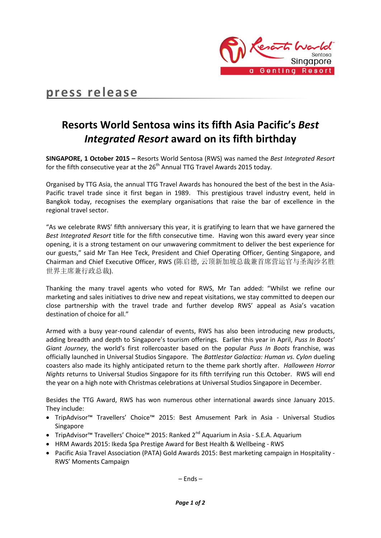

# **press release**

## **Resorts World Sentosa wins its fifth Asia Pacific's** *Best Integrated Resort* **award on its fifth birthday**

**SINGAPORE, 1 October 2015 –** Resorts World Sentosa (RWS) was named the *Best Integrated Resort* for the fifth consecutive year at the 26<sup>th</sup> Annual TTG Travel Awards 2015 today.

Organised by TTG Asia, the annual TTG Travel Awards has honoured the best of the best in the Asia-Pacific travel trade since it first began in 1989. This prestigious travel industry event, held in Bangkok today, recognises the exemplary organisations that raise the bar of excellence in the regional travel sector.

"As we celebrate RWS' fifth anniversary this year, it is gratifying to learn that we have garnered the *Best Integrated Resort* title for the fifth consecutive time. Having won this award every year since opening, it is a strong testament on our unwavering commitment to deliver the best experience for our guests," said Mr Tan Hee Teck, President and Chief Operating Officer, Genting Singapore, and Chairman and Chief Executive Officer, RWS (陈启德, 云顶新加坡总裁兼首席营运官与圣淘沙名胜 世界主席兼行政总裁).

Thanking the many travel agents who voted for RWS, Mr Tan added: "Whilst we refine our marketing and sales initiatives to drive new and repeat visitations, we stay committed to deepen our close partnership with the travel trade and further develop RWS' appeal as Asia's vacation destination of choice for all."

Armed with a busy year-round calendar of events, RWS has also been introducing new products, adding breadth and depth to Singapore's tourism offerings. Earlier this year in April, *Puss In Boots' Giant Journey*, the world's first rollercoaster based on the popular *Puss In Boots* franchise, was officially launched in Universal Studios Singapore. The *Battlestar Galactica: Human vs. Cylon* dueling coasters also made its highly anticipated return to the theme park shortly after. *Halloween Horror Nights* returns to Universal Studios Singapore for its fifth terrifying run this October. RWS will end the year on a high note with Christmas celebrations at Universal Studios Singapore in December.

Besides the TTG Award, RWS has won numerous other international awards since January 2015. They include:

- TripAdvisor™ Travellers' Choice™ 2015: Best Amusement Park in Asia Universal Studios Singapore
- TripAdvisor™ Travellers' Choice™ 2015: Ranked 2<sup>nd</sup> Aquarium in Asia S.E.A. Aquarium
- HRM Awards 2015: Ikeda Spa Prestige Award for Best Health & Wellbeing RWS
- Pacific Asia Travel Association (PATA) Gold Awards 2015: Best marketing campaign in Hospitality -RWS' Moments Campaign

– Ends –